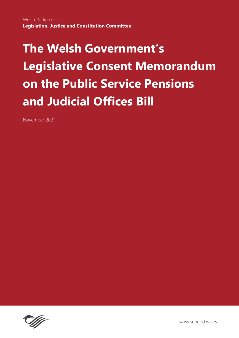# **The Welsh Government's Legislative Consent Memorandum on the Public Service Pensions and Judicial Offices Bill**

November 2021

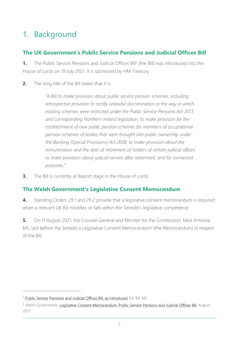# 1. Background

### **The UK Government's Public Service Pensions and Judicial Offices Bill**

**1.** The Public Service Pensions and Judicial Offices Bill<sup>1</sup> (the Bill) was introduced into the House of Lords on 19 July 2021. It is sponsored by HM Treasury.

**2.** The long title of the Bill states that it is:

*"A Bill to make provision about public service pension schemes, including retrospective provision to rectify unlawful discrimination in the way in which existing schemes were restricted under the Public Service Pensions Act 2013 and corresponding Northern Ireland legislation; to make provision for the establishment of new public pension schemes for members of occupational pension schemes of bodies that were brought into public ownership under the Banking (Special Provisions) Act 2008; to make provision about the remuneration and the date of retirement of holders of certain judicial offices; to make provision about judicial service after retirement; and for connected purposes."*

**3.** The Bill is currently at Report stage in the House of Lords.

## **The Welsh Government's Legislative Consent Memorandum**

**4.** Standing Orders 29.1 and 29.2 provide that a legislative consent memorandum is required when a relevant UK Bill modifies or falls within the Senedd's legislative competence.

**5.** On 11 August 2021, the Counsel General and Minister for the Constitution, Mick Antoniw MS, laid before the Senedd a Legislative Consent Memorandum<sup>2</sup> (the Memorandum) in respect of the Bill.

<sup>&</sup>lt;sup>1</sup> [Public Service Pensions and Judicial Offices Bill, as introduced](https://bills.parliament.uk/publications/42278/documents/567) [HL Bill 44]

<sup>&</sup>lt;sup>2</sup> Welsh Government, [Legislative Consent Memorandum, Public Service Pensions and Judicial Offices Bill,](https://senedd.wales/media/wfelpgvh/lcm-ld14498-e.pdf) August 2021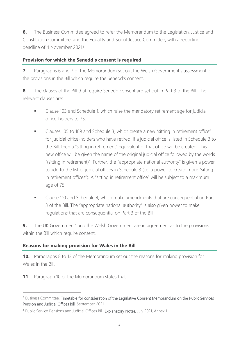**6.** The Business Committee agreed to refer the Memorandum to the Legislation, Justice and Constitution Committee, and the Equality and Social Justice Committee, with a reporting deadline of 4 November 2021.<sup>3</sup>

#### **Provision for which the Senedd's consent is required**

**7.** Paragraphs 6 and 7 of the Memorandum set out the Welsh Government's assessment of the provisions in the Bill which require the Senedd's consent.

**8.** The clauses of the Bill that require Senedd consent are set out in Part 3 of the Bill. The relevant clauses are:

- Clause 103 and Schedule 1, which raise the mandatory retirement age for judicial office-holders to 75.
- Clauses 105 to 109 and Schedule 3, which create a new "sitting in retirement office" for judicial office-holders who have retired. If a judicial office is listed in Schedule 3 to the Bill, then a "sitting in retirement" equivalent of that office will be created. This new office will be given the name of the original judicial office followed by the words "(sitting in retirement)". Further, the "appropriate national authority" is given a power to add to the list of judicial offices in Schedule 3 (i.e. a power to create more "sitting in retirement offices"). A "sitting in retirement office" will be subject to a maximum age of 75.
- Clause 110 and Schedule 4, which make amendments that are consequential on Part 3 of the Bill. The "appropriate national authority" is also given power to make regulations that are consequential on Part 3 of the Bill.

**9.** The UK Government<sup>4</sup> and the Welsh Government are in agreement as to the provisions within the Bill which require consent.

#### **Reasons for making provision for Wales in the Bill**

**10.** Paragraphs 8 to 13 of the Memorandum set out the reasons for making provision for Wales in the Bill.

**11.** Paragraph 10 of the Memorandum states that:

<sup>&</sup>lt;sup>3</sup> Business Committee, Timetable for consideration of the Legislative Consent Memorandum on the Public Services [Pension and Judicial Offices Bill,](https://senedd.wales/media/ygbjirn2/cr-ld14543-e.pdf) September 2021

<sup>&</sup>lt;sup>4</sup> Public Service Pensions and Judicial Offices Bill, [Explanatory Notes,](https://bills.parliament.uk/publications/42340/documents/590) July 2021, Annex 1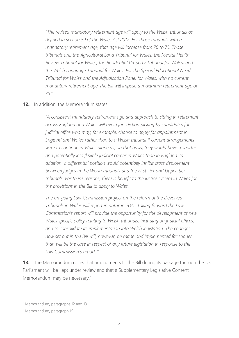*"The revised mandatory retirement age will apply to the Welsh tribunals as defined in section 59 of the Wales Act 2017. For those tribunals with a mandatory retirement age, that age will increase from 70 to 75. Those tribunals are: the Agricultural Land Tribunal for Wales; the Mental Health Review Tribunal for Wales; the Residential Property Tribunal for Wales; and the Welsh Language Tribunal for Wales. For the Special Educational Needs Tribunal for Wales and the Adjudication Panel for Wales, with no current mandatory retirement age, the Bill will impose a maximum retirement age of 75."*

#### **12.** In addition, the Memorandum states:

*"A consistent mandatory retirement age and approach to sitting in retirement across England and Wales will avoid jurisdiction picking by candidates for judicial office who may, for example, choose to apply for appointment in England and Wales rather than to a Welsh tribunal if current arrangements were to continue in Wales alone as, on that basis, they would have a shorter*  and potentially less flexible judicial career in Wales than in England. In *addition, a differential position would potentially inhibit cross deployment between judges in the Welsh tribunals and the First-tier and Upper-tier tribunals. For these reasons, there is benefit to the justice system in Wales for the provisions in the Bill to apply to Wales.*

*The on-going Law Commission project on the reform of the Devolved Tribunals in Wales will report in autumn 2021. Taking forward the Law Commission's report will provide the opportunity for the development of new Wales specific policy relating to Welsh tribunals, including on judicial offices, and to consolidate its implementation into Welsh legislation. The changes now set out in the Bill will, however, be made and implemented far sooner than will be the case in respect of any future legislation in response to the Law Commission's report."*3F *5*

**13.** The Memorandum notes that amendments to the Bill during its passage through the UK Parliament will be kept under review and that a Supplementary Legislative Consent Memorandum may be necessary. 6

<sup>5</sup> Memorandum, paragraphs 12 and 13

<sup>6</sup> Memorandum, paragraph 15